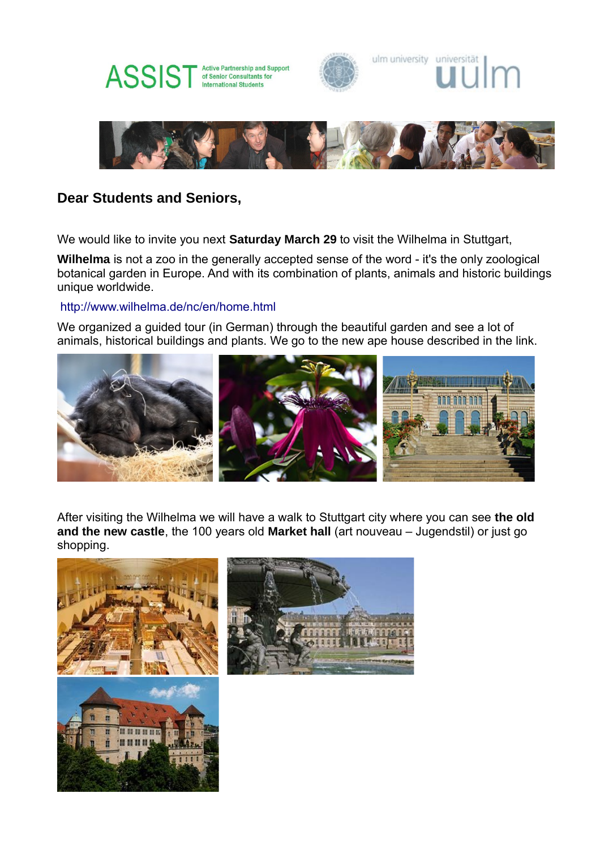







# **Dear Students and Seniors,**

We would like to invite you next **Saturday March 29** to visit the Wilhelma in Stuttgart,

**Wilhelma** is not a zoo in the generally accepted sense of the word - it's the only zoological botanical garden in Europe. And with its combination of plants, animals and historic buildings unique worldwide.

## http://www.wilhelma.de/nc/en/home.html

We organized a guided tour (in German) through the beautiful garden and see a lot of animals, historical buildings and plants. We go to the new ape house described in the link.



After visiting the Wilhelma we will have a walk to Stuttgart city where you can see **the old and the new castle**, the 100 years old **Market hall** (art nouveau – Jugendstil) or just go shopping.